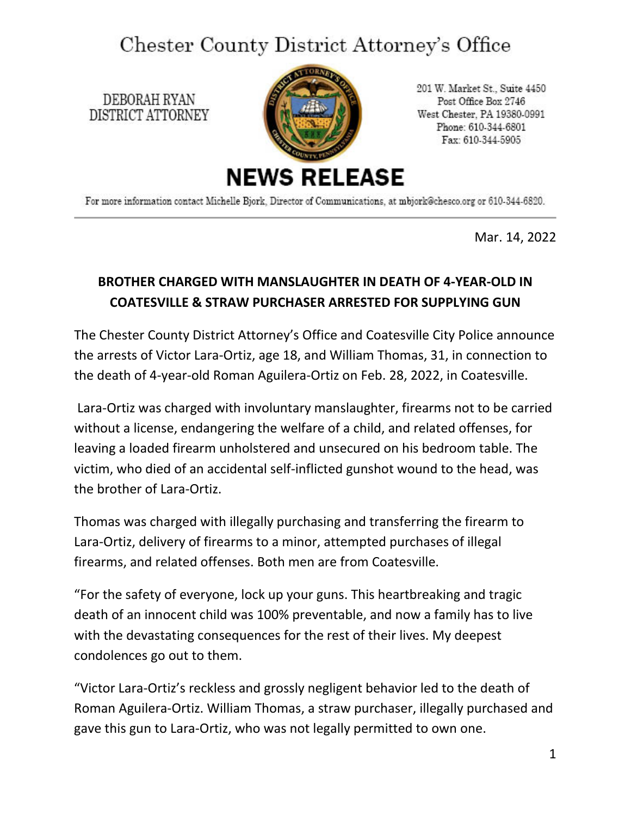## Chester County District Attorney's Office

DEBORAH RYAN DISTRICT ATTORNEY



201 W. Market St., Suite 4450 Post Office Box 2746 West Chester, PA 19380-0991 Phone: 610-344-6801 Fax: 610-344-5905

For more information contact Michelle Bjork, Director of Communications, at mbjork@chesco.org or 610-344-6820.

Mar. 14, 2022

## **BROTHER CHARGED WITH MANSLAUGHTER IN DEATH OF 4-YEAR-OLD IN COATESVILLE & STRAW PURCHASER ARRESTED FOR SUPPLYING GUN**

The Chester County District Attorney's Office and Coatesville City Police announce the arrests of Victor Lara-Ortiz, age 18, and William Thomas, 31, in connection to the death of 4-year-old Roman Aguilera-Ortiz on Feb. 28, 2022, in Coatesville.

Lara-Ortiz was charged with involuntary manslaughter, firearms not to be carried without a license, endangering the welfare of a child, and related offenses, for leaving a loaded firearm unholstered and unsecured on his bedroom table. The victim, who died of an accidental self-inflicted gunshot wound to the head, was the brother of Lara-Ortiz.

Thomas was charged with illegally purchasing and transferring the firearm to Lara-Ortiz, delivery of firearms to a minor, attempted purchases of illegal firearms, and related offenses. Both men are from Coatesville.

"For the safety of everyone, lock up your guns. This heartbreaking and tragic death of an innocent child was 100% preventable, and now a family has to live with the devastating consequences for the rest of their lives. My deepest condolences go out to them.

"Victor Lara-Ortiz's reckless and grossly negligent behavior led to the death of Roman Aguilera-Ortiz. William Thomas, a straw purchaser, illegally purchased and gave this gun to Lara-Ortiz, who was not legally permitted to own one.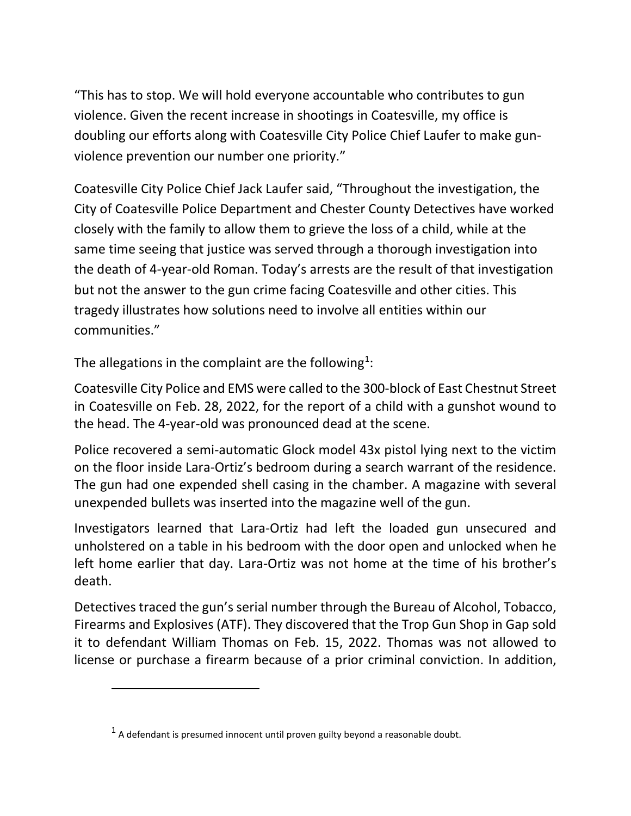"This has to stop. We will hold everyone accountable who contributes to gun violence. Given the recent increase in shootings in Coatesville, my office is doubling our efforts along with Coatesville City Police Chief Laufer to make gunviolence prevention our number one priority."

Coatesville City Police Chief Jack Laufer said, "Throughout the investigation, the City of Coatesville Police Department and Chester County Detectives have worked closely with the family to allow them to grieve the loss of a child, while at the same time seeing that justice was served through a thorough investigation into the death of 4-year-old Roman. Today's arrests are the result of that investigation but not the answer to the gun crime facing Coatesville and other cities. This tragedy illustrates how solutions need to involve all entities within our communities."

The allegations in the complaint are the following<sup>[1](#page-1-0)</sup>:

Coatesville City Police and EMS were called to the 300-block of East Chestnut Street in Coatesville on Feb. 28, 2022, for the report of a child with a gunshot wound to the head. The 4-year-old was pronounced dead at the scene.

Police recovered a semi-automatic Glock model 43x pistol lying next to the victim on the floor inside Lara-Ortiz's bedroom during a search warrant of the residence. The gun had one expended shell casing in the chamber. A magazine with several unexpended bullets was inserted into the magazine well of the gun.

Investigators learned that Lara-Ortiz had left the loaded gun unsecured and unholstered on a table in his bedroom with the door open and unlocked when he left home earlier that day. Lara-Ortiz was not home at the time of his brother's death.

Detectives traced the gun's serial number through the Bureau of Alcohol, Tobacco, Firearms and Explosives (ATF). They discovered that the Trop Gun Shop in Gap sold it to defendant William Thomas on Feb. 15, 2022. Thomas was not allowed to license or purchase a firearm because of a prior criminal conviction. In addition,

<span id="page-1-0"></span> $<sup>1</sup>$  A defendant is presumed innocent until proven guilty beyond a reasonable doubt.</sup>